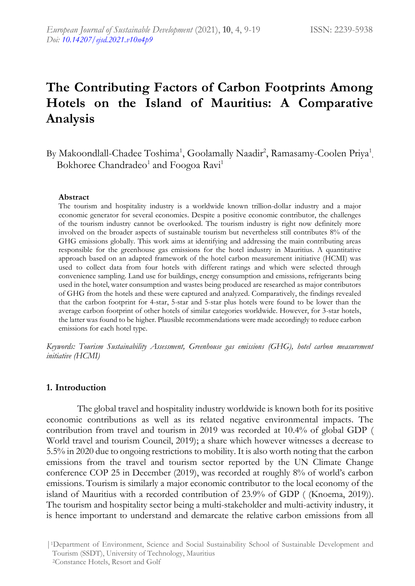# **The Contributing Factors of Carbon Footprints Among Hotels on the Island of Mauritius: A Comparative Analysis**

By Makoondlall-Chadee Toshima<sup>1</sup>, Goolamally Naadir<sup>2</sup>, Ramasamy-Coolen Priya<sup>1</sup>, Bokhoree Chandradeo<sup>1</sup> and Foogoa Ravi<sup>1</sup>

#### **Abstract**

The tourism and hospitality industry is a worldwide known trillion-dollar industry and a major economic generator for several economies. Despite a positive economic contributor, the challenges of the tourism industry cannot be overlooked. The tourism industry is right now definitely more involved on the broader aspects of sustainable tourism but nevertheless still contributes 8% of the GHG emissions globally. This work aims at identifying and addressing the main contributing areas responsible for the greenhouse gas emissions for the hotel industry in Mauritius. A quantitative approach based on an adapted framework of the hotel carbon measurement initiative (HCMI) was used to collect data from four hotels with different ratings and which were selected through convenience sampling. Land use for buildings, energy consumption and emissions, refrigerants being used in the hotel, water consumption and wastes being produced are researched as major contributors of GHG from the hotels and these were captured and analyzed. Comparatively, the findings revealed that the carbon footprint for 4-star, 5-star and 5-star plus hotels were found to be lower than the average carbon footprint of other hotels of similar categories worldwide. However, for 3-star hotels, the latter was found to be higher. Plausible recommendations were made accordingly to reduce carbon emissions for each hotel type.

*Keywords: Tourism Sustainability Assessment, Greenhouse gas emissions (GHG), hotel carbon measurement initiative (HCMI)*

## **1. Introduction**

The global travel and hospitality industry worldwide is known both for its positive economic contributions as well as its related negative environmental impacts. The contribution from travel and tourism in 2019 was recorded at 10.4% of global GDP ( World travel and tourism Council, 2019); a share which however witnesses a decrease to 5.5% in 2020 due to ongoing restrictions to mobility. It is also worth noting that the carbon emissions from the travel and tourism sector reported by the UN Climate Change conference COP 25 in December (2019), was recorded at roughly 8% of world's carbon emissions. Tourism is similarly a major economic contributor to the local economy of the island of Mauritius with a recorded contribution of 23.9% of GDP ( (Knoema, 2019)). The tourism and hospitality sector being a multi-stakeholder and multi-activity industry, it is hence important to understand and demarcate the relative carbon emissions from all

|1Department of Environment, Science and Social Sustainability School of Sustainable Development and Tourism (SSDT), University of Technology, Mauritius

<sup>2</sup>Constance Hotels, Resort and Golf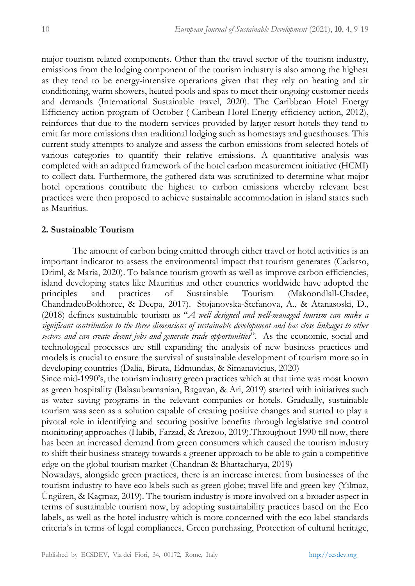major tourism related components. Other than the travel sector of the tourism industry, emissions from the lodging component of the tourism industry is also among the highest as they tend to be energy-intensive operations given that they rely on heating and air conditioning, warm showers, heated pools and spas to meet their ongoing customer needs and demands (International Sustainable travel, 2020). The Caribbean Hotel Energy Efficiency action program of October ( Caribean Hotel Energy efficiency action, 2012), reinforces that due to the modern services provided by larger resort hotels they tend to emit far more emissions than traditional lodging such as homestays and guesthouses. This current study attempts to analyze and assess the carbon emissions from selected hotels of various categories to quantify their relative emissions. A quantitative analysis was completed with an adapted framework of the hotel carbon measurement initiative (HCMI) to collect data. Furthermore, the gathered data was scrutinized to determine what major hotel operations contribute the highest to carbon emissions whereby relevant best practices were then proposed to achieve sustainable accommodation in island states such as Mauritius.

## **2. Sustainable Tourism**

The amount of carbon being emitted through either travel or hotel activities is an important indicator to assess the environmental impact that tourism generates (Cadarso, Driml, & Maria, 2020). To balance tourism growth as well as improve carbon efficiencies, island developing states like Mauritius and other countries worldwide have adopted the principles and practices of Sustainable Tourism (Makoondlall-Chadee, ChandradeoBokhoree, & Deepa, 2017). Stojanovska-Stefanova, A., & Atanasoski, D., (2018) defines sustainable tourism as "*A well designed and well-managed tourism can make a significant contribution to the three dimensions of sustainable development and has close linkages to other sectors and can create decent jobs and generate trade opportunities*". As the economic, social and technological processes are still expanding the analysis of new business practices and models is crucial to ensure the survival of sustainable development of tourism more so in developing countries (Dalia, Biruta, Edmundas, & Simanavicius, 2020)

Since mid-1990's, the tourism industry green practices which at that time was most known as green hospitality (Balasubramanian, Ragavan, & Ari, 2019) started with initiatives such as water saving programs in the relevant companies or hotels. Gradually, sustainable tourism was seen as a solution capable of creating positive changes and started to play a pivotal role in identifying and securing positive benefits through legislative and control monitoring approaches (Habib, Farzad, & Arezoo, 2019).Throughout 1990 till now, there has been an increased demand from green consumers which caused the tourism industry to shift their business strategy towards a greener approach to be able to gain a competitive edge on the global tourism market (Chandran & Bhattacharya, 2019)

Nowadays, alongside green practices, there is an increase interest from businesses of the tourism industry to have eco labels such as green globe; travel life and green key (Yılmaz, Üngüren, & Kaçmaz, 2019). The tourism industry is more involved on a broader aspect in terms of sustainable tourism now, by adopting sustainability practices based on the Eco labels, as well as the hotel industry which is more concerned with the eco label standards criteria's in terms of legal compliances, Green purchasing, Protection of cultural heritage,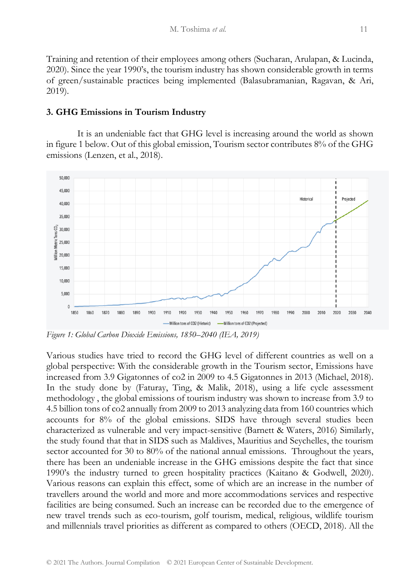Training and retention of their employees among others (Sucharan, Arulapan, & Lucinda, 2020). Since the year 1990's, the tourism industry has shown considerable growth in terms of green/sustainable practices being implemented (Balasubramanian, Ragavan, & Ari, 2019).

# **3. GHG Emissions in Tourism Industry**

It is an undeniable fact that GHG level is increasing around the world as shown in figure 1 below. Out of this global emission, Tourism sector contributes 8% of the GHG emissions (Lenzen, et al., 2018).



*Figure 1: Global Carbon Dioxide Emissions, 1850–2040 (IEA, 2019)*

Various studies have tried to record the GHG level of different countries as well on a global perspective: With the considerable growth in the Tourism sector, Emissions have increased from 3.9 Gigatonnes of co2 in 2009 to 4.5 Gigatonnes in 2013 (Michael, 2018). In the study done by (Faturay, Ting, & Malik, 2018), using a life cycle assessment methodology , the global emissions of tourism industry was shown to increase from 3.9 to 4.5 billion tons of co2 annually from 2009 to 2013 analyzing data from 160 countries which accounts for 8% of the global emissions. SIDS have through several studies been characterized as vulnerable and very impact-sensitive (Barnett & Waters, 2016) Similarly, the study found that that in SIDS such as Maldives, Mauritius and Seychelles, the tourism sector accounted for 30 to 80% of the national annual emissions. Throughout the years, there has been an undeniable increase in the GHG emissions despite the fact that since 1990's the industry turned to green hospitality practices (Kaitano & Godwell, 2020). Various reasons can explain this effect, some of which are an increase in the number of travellers around the world and more and more accommodations services and respective facilities are being consumed. Such an increase can be recorded due to the emergence of new travel trends such as eco-tourism, golf tourism, medical, religious, wildlife tourism and millennials travel priorities as different as compared to others (OECD, 2018). All the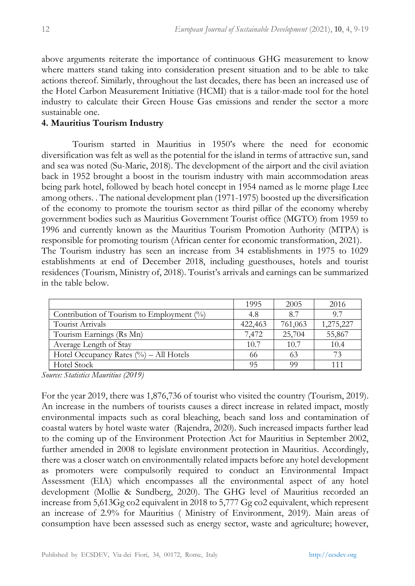above arguments reiterate the importance of continuous GHG measurement to know where matters stand taking into consideration present situation and to be able to take actions thereof. Similarly, throughout the last decades, there has been an increased use of the Hotel Carbon Measurement Initiative (HCMI) that is a tailor-made tool for the hotel industry to calculate their Green House Gas emissions and render the sector a more sustainable one.

## **4. Mauritius Tourism Industry**

Tourism started in Mauritius in 1950's where the need for economic diversification was felt as well as the potential for the island in terms of attractive sun, sand and sea was noted (Su-Marie, 2018). The development of the airport and the civil aviation back in 1952 brought a boost in the tourism industry with main accommodation areas being park hotel, followed by beach hotel concept in 1954 named as le morne plage Ltee among others. . The national development plan (1971-1975) boosted up the diversification of the economy to promote the tourism sector as third pillar of the economy whereby government bodies such as Mauritius Government Tourist office (MGTO) from 1959 to 1996 and currently known as the Mauritius Tourism Promotion Authority (MTPA) is responsible for promoting tourism (African center for economic transformation, 2021). The Tourism industry has seen an increase from 34 establishments in 1975 to 1029 establishments at end of December 2018, including guesthouses, hotels and tourist residences (Tourism, Ministry of, 2018). Tourist's arrivals and earnings can be summarized in the table below.

|                                              | 1995    | 2005    | 2016      |
|----------------------------------------------|---------|---------|-----------|
| Contribution of Tourism to Employment $(\%)$ | 4.8     | 87      | 97        |
| Tourist Arrivals                             | 422,463 | 761,063 | 1,275,227 |
| Tourism Earnings (Rs Mn)                     | 7,472   | 25,704  | 55,867    |
| Average Length of Stay                       | 10.7    | 10.7    | 10.4      |
| Hotel Occupancy Rates $(\% )$ – All Hotels   | 66      | 63      | 73        |
| <b>Hotel Stock</b>                           | 95      | 99      | 111       |

*Source: Statistics Mauritius (2019)*

For the year 2019, there was 1,876,736 of tourist who visited the country (Tourism, 2019). An increase in the numbers of tourists causes a direct increase in related impact, mostly environmental impacts such as coral bleaching, beach sand loss and contamination of coastal waters by hotel waste water (Rajendra, 2020). Such increased impacts further lead to the coming up of the Environment Protection Act for Mauritius in September 2002, further amended in 2008 to legislate environment protection in Mauritius. Accordingly, there was a closer watch on environmentally related impacts before any hotel development as promoters were compulsorily required to conduct an Environmental Impact Assessment (EIA) which encompasses all the environmental aspect of any hotel development (Mollie & Sundberg, 2020). The GHG level of Mauritius recorded an increase from 5,613Gg co2 equivalent in 2018 to 5,777 Gg co2 equivalent, which represent an increase of 2.9% for Mauritius ( Ministry of Environment, 2019). Main areas of consumption have been assessed such as energy sector, waste and agriculture; however,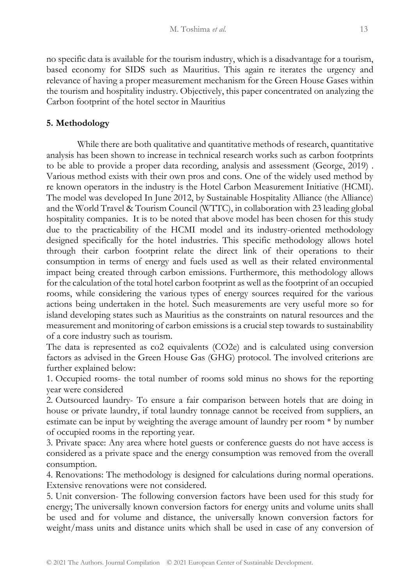no specific data is available for the tourism industry, which is a disadvantage for a tourism, based economy for SIDS such as Mauritius. This again re iterates the urgency and relevance of having a proper measurement mechanism for the Green House Gases within the tourism and hospitality industry. Objectively, this paper concentrated on analyzing the Carbon footprint of the hotel sector in Mauritius

# **5. Methodology**

While there are both qualitative and quantitative methods of research, quantitative analysis has been shown to increase in technical research works such as carbon footprints to be able to provide a proper data recording, analysis and assessment (George, 2019) . Various method exists with their own pros and cons. One of the widely used method by re known operators in the industry is the Hotel Carbon Measurement Initiative (HCMI). The model was developed In June 2012, by Sustainable Hospitality Alliance (the Alliance) and the World Travel & Tourism Council (WTTC), in collaboration with 23 leading global hospitality companies. It is to be noted that above model has been chosen for this study due to the practicability of the HCMI model and its industry-oriented methodology designed specifically for the hotel industries. This specific methodology allows hotel through their carbon footprint relate the direct link of their operations to their consumption in terms of energy and fuels used as well as their related environmental impact being created through carbon emissions. Furthermore, this methodology allows for the calculation of the total hotel carbon footprint as well as the footprint of an occupied rooms, while considering the various types of energy sources required for the various actions being undertaken in the hotel. Such measurements are very useful more so for island developing states such as Mauritius as the constraints on natural resources and the measurement and monitoring of carbon emissions is a crucial step towards to sustainability of a core industry such as tourism.

The data is represented as co2 equivalents (CO2e) and is calculated using conversion factors as advised in the Green House Gas (GHG) protocol. The involved criterions are further explained below:

1. Occupied rooms- the total number of rooms sold minus no shows for the reporting year were considered

2. Outsourced laundry- To ensure a fair comparison between hotels that are doing in house or private laundry, if total laundry tonnage cannot be received from suppliers, an estimate can be input by weighting the average amount of laundry per room \* by number of occupied rooms in the reporting year.

3. Private space: Any area where hotel guests or conference guests do not have access is considered as a private space and the energy consumption was removed from the overall consumption.

4. Renovations: The methodology is designed for calculations during normal operations. Extensive renovations were not considered.

5. Unit conversion- The following conversion factors have been used for this study for energy; The universally known conversion factors for energy units and volume units shall be used and for volume and distance, the universally known conversion factors for weight/mass units and distance units which shall be used in case of any conversion of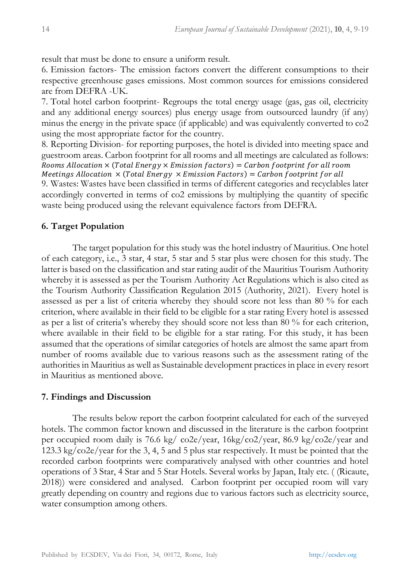result that must be done to ensure a uniform result.

6. Emission factors- The emission factors convert the different consumptions to their respective greenhouse gases emissions. Most common sources for emissions considered are from DEFRA -UK.

7. Total hotel carbon footprint- Regroups the total energy usage (gas, gas oil, electricity and any additional energy sources) plus energy usage from outsourced laundry (if any) minus the energy in the private space (if applicable) and was equivalently converted to co2 using the most appropriate factor for the country.

8. Reporting Division- for reporting purposes, the hotel is divided into meeting space and guestroom areas. Carbon footprint for all rooms and all meetings are calculated as follows: Rooms Allocation  $\times$  (Total Energy  $\times$  Emission factors) = Carbon footprint for all room Meetings Allocation  $\times$  (Total Energy  $\times$  Emission Factors) = Carbon footprint for all 9. Wastes: Wastes have been classified in terms of different categories and recyclables later accordingly converted in terms of co2 emissions by multiplying the quantity of specific waste being produced using the relevant equivalence factors from DEFRA.

## **6. Target Population**

The target population for this study was the hotel industry of Mauritius. One hotel of each category, i.e., 3 star, 4 star, 5 star and 5 star plus were chosen for this study. The latter is based on the classification and star rating audit of the Mauritius Tourism Authority whereby it is assessed as per the Tourism Authority Act Regulations which is also cited as the Tourism Authority Classification Regulation 2015 (Authority, 2021). Every hotel is assessed as per a list of criteria whereby they should score not less than 80 % for each criterion, where available in their field to be eligible for a star rating Every hotel is assessed as per a list of criteria's whereby they should score not less than 80 % for each criterion, where available in their field to be eligible for a star rating. For this study, it has been assumed that the operations of similar categories of hotels are almost the same apart from number of rooms available due to various reasons such as the assessment rating of the authorities in Mauritius as well as Sustainable development practices in place in every resort in Mauritius as mentioned above.

### **7. Findings and Discussion**

The results below report the carbon footprint calculated for each of the surveyed hotels. The common factor known and discussed in the literature is the carbon footprint per occupied room daily is 76.6 kg/ co2e/year, 16kg/co2/year, 86.9 kg/co2e/year and 123.3 kg/co2e/year for the 3, 4, 5 and 5 plus star respectively. It must be pointed that the recorded carbon footprints were comparatively analysed with other countries and hotel operations of 3 Star, 4 Star and 5 Star Hotels. Several works by Japan, Italy etc. ( (Ricaute, 2018)) were considered and analysed. Carbon footprint per occupied room will vary greatly depending on country and regions due to various factors such as electricity source, water consumption among others.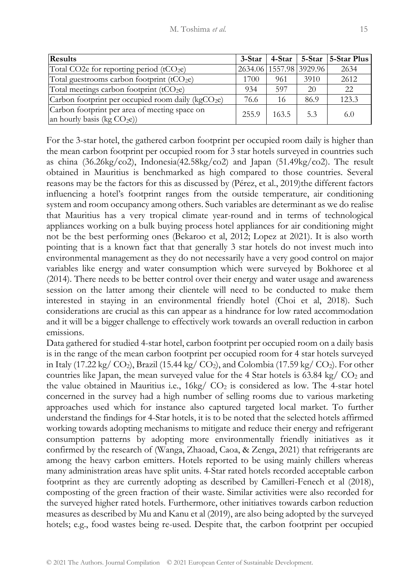| Results                                                                        | 3-Star |       |                         | 4-Star 5-Star 5-Star Plus |
|--------------------------------------------------------------------------------|--------|-------|-------------------------|---------------------------|
| Total CO2e for reporting period (tCO <sub>2e</sub> )                           |        |       | 2634.06 1557.98 3929.96 | 2634                      |
| Total guestrooms carbon footprint (tCO <sub>2</sub> e)                         | 1700   | 961   | 3910                    | 2612                      |
| Total meetings carbon footprint (tCO2e)                                        | 934    | 597   | 20                      | 22                        |
| Carbon footprint per occupied room daily ( $kgCO2e$ )                          | 76.6   | 16    | 86.9                    | 123.3                     |
| Carbon footprint per area of meeting space on<br>an hourly basis (kg $CO2e$ )) | 255.9  | 163.5 | 5.3                     | 6.0                       |

For the 3-star hotel, the gathered carbon footprint per occupied room daily is higher than the mean carbon footprint per occupied room for 3 star hotels surveyed in countries such as china (36.26kg/co2), Indonesia(42.58kg/co2) and Japan (51.49kg/co2). The result obtained in Mauritius is benchmarked as high compared to those countries. Several reasons may be the factors for this as discussed by (Pérez, et al., 2019)the different factors influencing a hotel's footprint ranges from the outside temperature, air conditioning system and room occupancy among others. Such variables are determinant as we do realise that Mauritius has a very tropical climate year-round and in terms of technological appliances working on a bulk buying process hotel appliances for air conditioning might not be the best performing ones (Bekaroo et al, 2012; Lopez at 2021). It is also worth pointing that is a known fact that that generally 3 star hotels do not invest much into environmental management as they do not necessarily have a very good control on major variables like energy and water consumption which were surveyed by Bokhoree et al (2014). There needs to be better control over their energy and water usage and awareness session on the latter among their clientele will need to be conducted to make them interested in staying in an environmental friendly hotel (Choi et al, 2018). Such considerations are crucial as this can appear as a hindrance for low rated accommodation and it will be a bigger challenge to effectively work towards an overall reduction in carbon emissions.

Data gathered for studied 4-star hotel, carbon footprint per occupied room on a daily basis is in the range of the mean carbon footprint per occupied room for 4 star hotels surveyed in Italy (17.22 kg/  $CO<sub>2</sub>$ ), Brazil (15.44 kg/  $CO<sub>2</sub>$ ), and Colombia (17.59 kg/  $CO<sub>2</sub>$ ). For other countries like Japan, the mean surveyed value for the 4 Star hotels is  $63.84 \text{ kg} / \text{CO}_2$  and the value obtained in Mauritius i.e.,  $16\text{kg}/\text{CO}_2$  is considered as low. The 4-star hotel concerned in the survey had a high number of selling rooms due to various marketing approaches used which for instance also captured targeted local market. To further understand the findings for 4-Star hotels, it is to be noted that the selected hotels affirmed working towards adopting mechanisms to mitigate and reduce their energy and refrigerant consumption patterns by adopting more environmentally friendly initiatives as it confirmed by the research of (Wanga, Zhaoad, Caoa, & Zenga, 2021) that refrigerants are among the heavy carbon emitters. Hotels reported to be using mainly chillers whereas many administration areas have split units. 4-Star rated hotels recorded acceptable carbon footprint as they are currently adopting as described by Camilleri-Fenech et al (2018), composting of the green fraction of their waste. Similar activities were also recorded for the surveyed higher rated hotels. Furthermore, other initiatives towards carbon reduction measures as described by Mu and Kanu et al (2019), are also being adopted by the surveyed hotels; e.g., food wastes being re-used. Despite that, the carbon footprint per occupied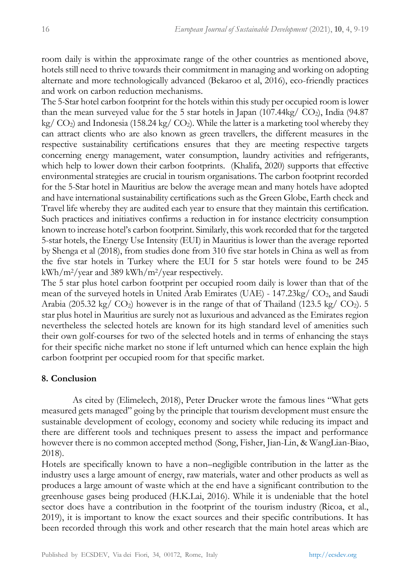room daily is within the approximate range of the other countries as mentioned above, hotels still need to thrive towards their commitment in managing and working on adopting alternate and more technologically advanced (Bekaroo et al, 2016), eco-friendly practices and work on carbon reduction mechanisms.

The 5-Star hotel carbon footprint for the hotels within this study per occupied room is lower than the mean surveyed value for the 5 star hotels in Japan (107.44kg/  $CO<sub>2</sub>$ ), India (94.87)  $kg/CO<sub>2</sub>$ ) and Indonesia (158.24 kg/  $CO<sub>2</sub>$ ). While the latter is a marketing tool whereby they can attract clients who are also known as green travellers, the different measures in the respective sustainability certifications ensures that they are meeting respective targets concerning energy management, water consumption, laundry activities and refrigerants, which help to lower down their carbon footprints. (Khalifa, 2020) supports that effective environmental strategies are crucial in tourism organisations. The carbon footprint recorded for the 5-Star hotel in Mauritius are below the average mean and many hotels have adopted and have international sustainability certifications such as the Green Globe, Earth check and Travel life whereby they are audited each year to ensure that they maintain this certification. Such practices and initiatives confirms a reduction in for instance electricity consumption known to increase hotel's carbon footprint. Similarly, this work recorded that for the targeted 5-star hotels, the Energy Use Intensity (EUI) in Mauritius is lower than the average reported by Shenga et al (2018), from studies done from 310 five star hotels in China as well as from the five star hotels in Turkey where the EUI for 5 star hotels were found to be 245  $kWh/m^2/year$  and 389 kWh/m<sup>2</sup>/year respectively.

The 5 star plus hotel carbon footprint per occupied room daily is lower than that of the mean of the surveyed hotels in United Arab Emirates (UAE) - 147.23kg/ CO2, and Saudi Arabia (205.32 kg/  $CO<sub>2</sub>$ ) however is in the range of that of Thailand (123.5 kg/  $CO<sub>2</sub>$ ). 5 star plus hotel in Mauritius are surely not as luxurious and advanced as the Emirates region nevertheless the selected hotels are known for its high standard level of amenities such their own golf-courses for two of the selected hotels and in terms of enhancing the stays for their specific niche market no stone if left unturned which can hence explain the high carbon footprint per occupied room for that specific market.

## **8. Conclusion**

As cited by (Elimelech, 2018), Peter Drucker wrote the famous lines "What gets measured gets managed" going by the principle that tourism development must ensure the sustainable development of ecology, economy and society while reducing its impact and there are different tools and techniques present to assess the impact and performance however there is no common accepted method (Song, Fisher, Jian-Lin, & WangLian-Biao, 2018).

Hotels are specifically known to have a non–negligible contribution in the latter as the industry uses a large amount of energy, raw materials, water and other products as well as produces a large amount of waste which at the end have a significant contribution to the greenhouse gases being produced (H.K.Lai, 2016). While it is undeniable that the hotel sector does have a contribution in the footprint of the tourism industry (Ricoa, et al., 2019), it is important to know the exact sources and their specific contributions. It has been recorded through this work and other research that the main hotel areas which are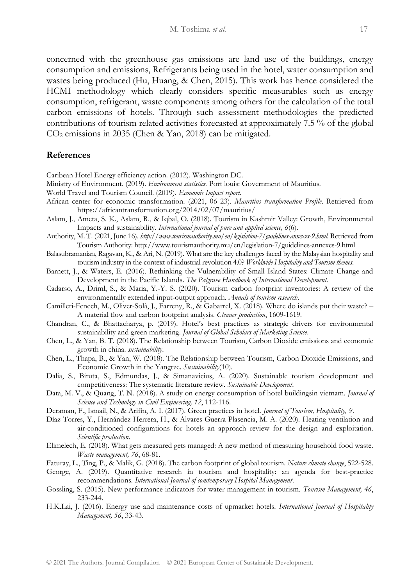concerned with the greenhouse gas emissions are land use of the buildings, energy consumption and emissions, Refrigerants being used in the hotel, water consumption and wastes being produced (Hu, Huang, & Chen, 2015). This work has hence considered the HCMI methodology which clearly considers specific measurables such as energy consumption, refrigerant, waste components among others for the calculation of the total carbon emissions of hotels. Through such assessment methodologies the predicted contributions of tourism related activities forecasted at approximately 7.5 % of the global CO<sup>2</sup> emissions in 2035 (Chen & Yan, 2018) can be mitigated.

### **References**

Caribean Hotel Energy efficiency action. (2012). Washington DC.

- Ministry of Environment. (2019). *Environment statistics.* Port louis: Government of Mauritius.
- World Travel and Tourism Council. (2019). *Economic Impact report.*
- African center for economic transformation. (2021, 06 23). *Mauritius transformation Profile*. Retrieved from https://africantransformation.org/2014/02/07/mauritius/
- Aslam, J., Ameta, S. K., Aslam, R., & Iqbal, O. (2018). Tourism in Kashmir Valley: Growth, Environmental Impacts and sustainability. *International journal of pure and applied science, 6*(6).
- Authority, M. T. (2021, June 16). *http://www.tourismauthority.mu/en/legislation-7/guidelines-annexes-9.html.* Retrieved from Tourism Authority: http://www.tourismauthority.mu/en/legislation-7/guidelines-annexes-9.html
- Balasubramanian, Ragavan, K., & Ari, N. (2019). What are the key challenges faced by the Malaysian hospitality and tourism industry in the context of industrial revolution 4.0? *Worldwide Hospitality and Tourism themes*.
- Barnett, J., & Waters, E. (2016). Rethinking the Vulnerability of Small Island States: Climate Change and Development in the Pacific Islands. *The Palgrave Handbook of International Development*.
- Cadarso, A., Driml, S., & Maria, Y.-Y. S. (2020). Tourism carbon footprint inventories: A review of the environmentally extended input-output approach. *Annals of tourism research*.
- Camilleri-Fenech, M., Oliver-Solà, J., Farreny, R., & Gabarrel, X. (2018). Where do islands put their waste? A material flow and carbon footprint analysis. *Cleaner production*, 1609-1619.
- Chandran, C., & Bhattacharya, p. (2019). Hotel's best practices as strategic drivers for environmental sustainability and green marketing. *Journal of Global Scholars of Marketing Science*.
- Chen, L., & Yan, B. T. (2018). The Relationship between Tourism, Carbon Dioxide emissions and economic growth in china. *sustainability*.
- Chen, L., Thapa, B., & Yan, W. (2018). The Relationship between Tourism, Carbon Dioxide Emissions, and Economic Growth in the Yangtze. *Sustainability*(10).
- Dalia, S., Biruta, S., Edmundas, J., & Simanavicius, A. (2020). Sustainable tourism development and competitiveness: The systematic literature review. *Sustainable Development*.
- Data, M. V., & Quang, T. N. (2018). A study on energy consumption of hotel buildingsin vietnam. *Journal of Science and Technology in Civil Engineering, 12*, 112-116.
- Deraman, F., Ismail, N., & Arifin, A. I. (2017). Green practices in hotel. *Journal of Tourism, Hospitality, 9*.
- Díaz Torres, Y., Hernández Herrera, H., & Alvares Guerra Plasencia, M. A. (2020). Heating ventilation and air-conditioned configurations for hotels an approach review for the design and exploitation. *Scientific production*.
- Elimelech, E. (2018). What gets measured gets managed: A new method of measuring household food waste. *Waste management, 76*, 68-81.
- Faturay, L., Ting, P., & Malik, G. (2018). The carbon footprint of global tourism. *Nature climate change*, 522-528.

George, A. (2019). Quantitative research in tourism and hospitality: an agenda for best-practice recommendations. *International Journal of comtemporary Hospital Management*.

- Gossling, S. (2015). New performance indicators for water management in tourism. *Tourism Management, 46*, 233-244.
- H.K.Lai, J. (2016). Energy use and maintenance costs of upmarket hotels. *International Journal of Hospitality Management, 56*, 33-43.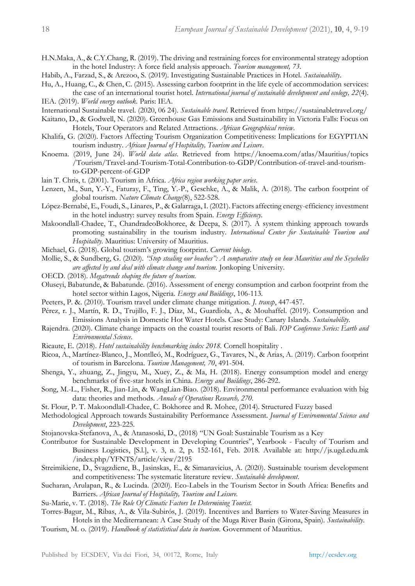H.N.Maka, A., & C.Y.Chang, R. (2019). The driving and restraining forces for environmental strategy adoption in the hotel Industry: A force field analysis approach. *Tourism management, 73*.

Habib, A., Farzad, S., & Arezoo, S. (2019). Investigating Sustainable Practices in Hotel. *Sustainability*.

- Hu, A., Huang, C., & Chen, C. (2015). Assessing carbon footprint in the life cycle of accommodation services: the case of an international tourist hotel. *International journal of sustainable development and ecology, 22*(4).
- IEA. (2019). *World energy outlook.* Paris: IEA.
- International Sustainable travel. (2020, 06 24). *Sustainable travel*. Retrieved from https://sustainabletravel.org/
- Kaitano, D., & Godwell, N. (2020). Greenhouse Gas Emissions and Sustainability in Victoria Falls: Focus on Hotels, Tour Operators and Related Attractions. *African Geographical review*.
- Khalifa, G. (2020). Factors Affecting Tourism Organization Competitiveness: Implications for EGYPTIAN tourism industry. *African Journal of Hospitality, Tourism and Leisure*.
- Knoema. (2019, June 24). *World data atlas*. Retrieved from https://knoema.com/atlas/Mauritius/topics /Tourism/Travel-and-Tourism-Total-Contribution-to-GDP/Contribution-of-travel-and-tourismto-GDP-percent-of-GDP
- lain T. Chris, t. (2001). Tourism in Africa. *Africa region working paper series*.
- Lenzen, M., Sun, Y.-Y., Faturay, F., Ting, Y.-P., Geschke, A., & Malik, A. (2018). The carbon footprint of global tourism. *Nature Climate Change*(8), 522-528.
- López-Bernabé, E., Foudi, S., Linares, P., & Galarraga, I. (2021). Factors affecting energy-efficiency investment in the hotel industry: survey results from Spain. *Energy Efficiency*.
- Makoondlall-Chadee, T., ChandradeoBokhoree, & Deepa, S. (2017). A system thinking approach towards promoting sustainability in the tourism industry. *International Center for Sustainable Tourism and Hospitality.* Mauritius: University of Mauritius.
- Michael, G. (2018). Global tourism's growing footprint. *Current biology*.
- Mollie, S., & Sundberg, G. (2020). *"Stop stealing our beaches": A comparative study on how Mauritius and the Seychelles are affected by and deal with climate change and tourism.* Jonkoping University.
- OECD. (2018). *Megatrends shaping the future of tourism.*
- Oluseyi, Babatunde, & Babatunde. (2016). Assessment of energy consumption and carbon footprint from the hotel sector within Lagos, Nigeria. *Energy and Buildings*, 106-113.
- Peeters, P. &. (2010). Tourism travel under climate change mitigation. *J. transp*, 447-457.
- Pérez, r. J., Martín, R. D., Trujillo, F. J., Díaz, M., Guardiola, A., & Mouhaffel. (2019). Consumption and Emissions Analysis in Domestic Hot Water Hotels. Case Study: Canary Islands. *Sustainability*.
- Rajendra. (2020). Climate change impacts on the coastal tourist resorts of Bali. *IOP Conference Series: Earth and Environmental Science*.
- Ricaute, E. (2018). *Hotel sustainability benchmarking index 2018.* Cornell hospitality .
- Ricoa, A., Martínez-Blanco, J., Montlleó, M., Rodríguez, G., Tavares, N., & Arias, A. (2019). Carbon footprint of tourism in Barcelona. *Tourism Management, 70*, 491-504.
- Shenga, Y., zhuang, Z., Jingyu, M., Xuey, Z., & Ma, H. (2018). Energy consumption model and energy benchmarks of five-star hotels in China. *Energy and Buildings*, 286-292.
- Song, M.-L., Fisher, R., Jian-Lin, & WangLian-Biao. (2018). Environmental performance evaluation with big data: theories and methods. *Annals of Operations Research, 270*.
- St. Flour, P. T. Makoondlall-Chadee, C. Bokhoree and R. Mohee, (2014). Structured Fuzzy based
- Methodological Approach towards Sustainability Performance Assessment. *Journal of Environmental Science and Development*, 223-225.
- Stojanovska-Stefanova, A., & Atanasoski, D., (2018) "UN Goal: Sustainable Tourism as a Key
- Contributor for Sustainable Development in Developing Countries", Yearbook Faculty of Tourism and Business Logistics, [S.l.], v. 3, n. 2, p. 152-161, Feb. 2018. Available at: http://js.ugd.edu.mk /index.php/YFNTS/article/view/2195
- Streimikiene, D., Svagzdiene, B., Jasinskas, E., & Simanavicius, A. (2020). Sustainable tourism development and competitiveness: The systematic literature review. *Sustainable development*.
- Sucharan, Arulapan, R., & Lucinda. (2020). Eco-Labels in the Tourism Sector in South Africa: Benefits and Barriers. *African Journal of Hospitality, Tourism and Leisure.*

Su-Marie, v. T. (2018). *The Role Of Climatic Factors In Determining Tourist.*

- Torres-Bagur, M., Ribas, A., & Vila-Subirós, J. (2019). Incentives and Barriers to Water-Saving Measures in Hotels in the Mediterranean: A Case Study of the Muga River Basin (Girona, Spain). *Sustainability*.
- Tourism, M. o. (2019). *Handbook of statististical data in tourism.* Government of Mauritius.